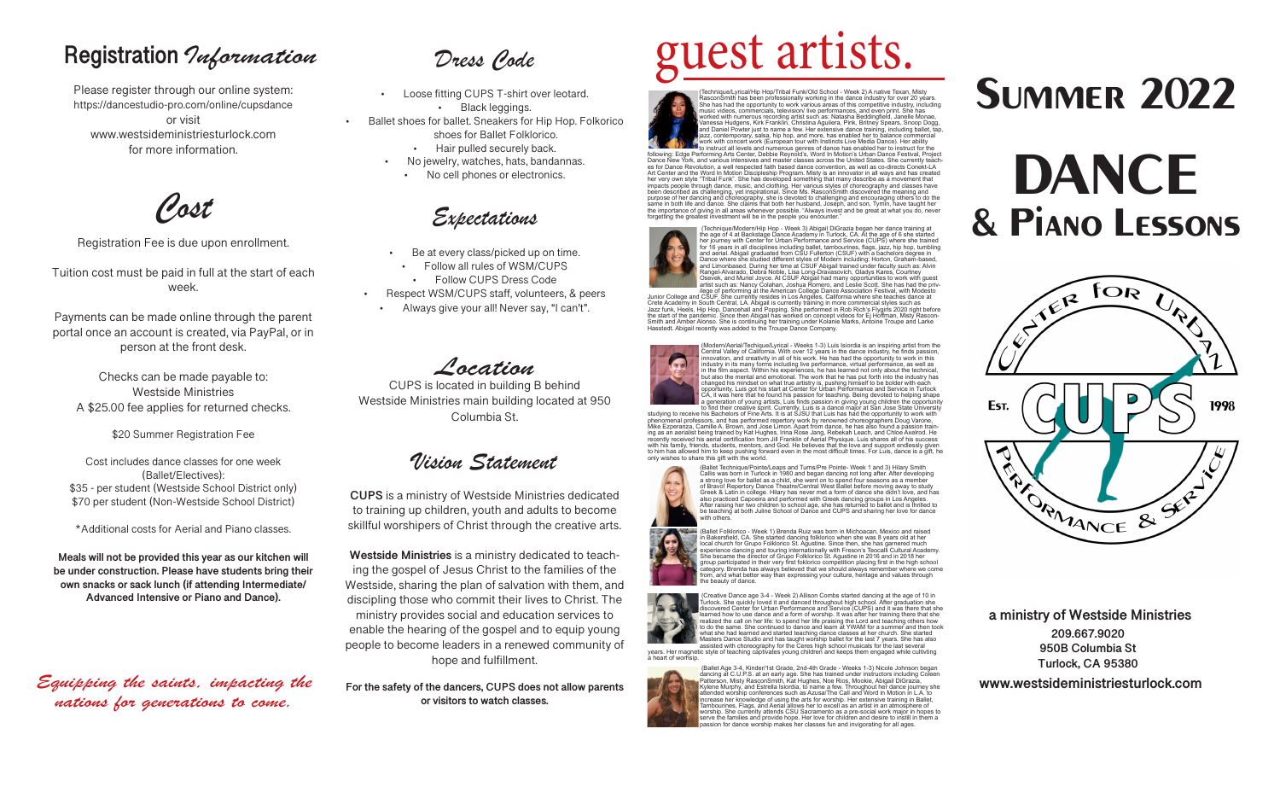## **Registration** *Information*

Please register through our online system: https://dancestudio-pro.com/online/cupsdance or visit www.westsideministriesturlock.com for more information.

*Cost*

Registration Fee is due upon enrollment.

Tuition cost must be paid in full at the start of each week.

Payments can be made online through the parent portal once an account is created, via PayPal, or in person at the front desk.

Checks can be made payable to: Westside Ministries A \$25.00 fee applies for returned checks.

\$20 Summer Registration Fee

Cost includes dance classes for one week (Ballet/Electives): \$35 - per student (Westside School District only) \$70 per student (Non-Westside School District)

\*Additional costs for Aerial and Piano classes.

**Meals will not be provided this year as our kitchen will be under construction. Please have students bring their own snacks or sack lunch (if attending Intermediate/ Advanced Intensive or Piano and Dance).**

*Equipping the saints, impacting the nations for generations to come.* 

*Dress Code*

- Loose fitting CUPS T-shirt over leotard. • Black leggings.
- Ballet shoes for ballet. Sneakers for Hip Hop. Folkorico shoes for Ballet Folklorico.
	- Hair pulled securely back.
	- No jewelry, watches, hats, bandannas.
	- No cell phones or electronics.

*Expectations*

- Be at every class/picked up on time.
- Follow all rules of WSM/CUPS
- Follow CUPS Dress Code
- Respect WSM/CUPS staff, volunteers, & peers
- Always give your all! Never say, "I can't".

## *Location*

CUPS is located in building B behind Westside Ministries main building located at 950 Columbia St.

*Vision Statement*

**CUPS** is a ministry of Westside Ministries dedicated to training up children, youth and adults to become skillful worshipers of Christ through the creative arts.

**Westside Ministries** is a ministry dedicated to teaching the gospel of Jesus Christ to the families of the Westside, sharing the plan of salvation with them, and discipling those who commit their lives to Christ. The ministry provides social and education services to enable the hearing of the gospel and to equip young people to become leaders in a renewed community of hope and fulfillment.

**For the safety of the dancers, CUPS does not allow parents or visitors to watch classes.** 

# guest artists.

(Technique/Lyrical/Hip Hop/Tribal Funk/Old School - Week 2) A native Texan, Misty<br>RasconSmith has been professionally working in the dance industry for over 20 years.<br>She has had the opportunity to work various areas of th music videos, commercials, television/ live performances, and even print. She has<br>worked with numerous recording artist such as: Natasha Beddingfield, Janelle Monae,<br>Vanessa Hudgens, Kirk Franklin, Christina Aguilera, Pink and Daniel Powter just to name a few. Her extensive dance training, including ballet, tap,<br>jazz, contemporary, salsa, hip hop, and more, has enabled her to balance commercial<br>work with concert work (European tour with Inst

**ALL WILL LEVELS AND THE UR IN A LEVELS** and numerous genres of dance has enabled her to instruct for the<br>following: Edge Performing Arts Center, Debbie Reynold's, Word In Motion's Urban Dance Festival, Project Dance New York, and various intensives and master classes across the United States. She currently teach-<br>es for Dance Revolution, a well respected faith based dance convention, as well as co-directs Conekt-LA<br>Art Center an her very own style "Tribal Funk". She has developed something that many describe as a movement that<br>impacts people through dance, music, and clothing. Her various styles of choreography and classes have<br>been described as c purpose of her dancing and choreography, she is devoted to challenging and encouraging others to do the<br>same in both life and dance. She claims that both her husband, Joseph, and son, Tymin, have taught her<br>the importance forgetting the greatest investment will be in the people you encounter."



the age of 4 at Backstage Dance Academy in Turlock, CA. At the age of 6 she started<br>her journey with Center for Urban Performance and Service (CUPS) where she trained<br>for 16 years in all disciplines including ballet, tambo and aerial. Abigail graduated from CSU Fullerton (CSUF) with a bachelors degree in<br>Dance where she studied different styles of Modern including: Horton, Graham-based,<br>and Limonbased. During her time at CSUF Abigail trained Rangel-Alvarado, Debra Noble, Lisa Long-Dravasovich, Gladys Kares, Courtney<br>Osevek, and Muriel Joyce. At CSUF Abigail had many opportunities to work with guest<br>artist such as: Nancy Colahan, Joshua Romero, and Leslie Scott

Junior College of performing at the American College Dance Association Festival, with Modesto<br>Junior College and CSUF. She currently resides in Los Angeles, California where she teaches dance at<br>Crete Academy in South Cent the start of the pandemic. Since then Abigail has worked on concept videos for Ej Hoffman, Misty Rascon-<br>Smith and Amber Alonso. She is continuing her training under Kolanie Marks, Antoine Troupe and Larke<br>Hasstedt. Abigai



(Modern/Aerial/Techique/Lyrical - Weeks 1-3) Luis Isiordia is an inspiring artist from the Central Valley of California. With over 12 years in the dance industry, he finds passion, innovation, and creativity in all of his work. He has had the opportunity to work in this<br>industry in its many forms including live performance, virtual performance, as well as<br>in the film aspect. Within his experiences, h but also the mental and emotional. The work that he has put forth into the industry has changed his mindset on what true artistry is, pushing himself to be bolder with each opportunity. Luis got his start at Center for Urban Performance and Service in Turlock CA, it was here that he found his passion for teaching. Being devoted to helping shape

a generation of young artists, Luis finds passion in giving young children the opportunity to find their creative spirit. Currently, Luis is a dance major at San Jose State University studying to receive his Bachelors of Fine Arts. It is at SJSU that Luis has had the opportunity to work with phenomenal professors, and has performed repertory work by renowned choreographers Doug Varone,<br>Mike Ezperanza, Camille A. Brown, and Jose Limon. Apart from dance, he has also found a passion train-<br>ing as an aerialist bei recently received his aerial certification from Jill Franklin of Aerial Physique. Luis shares all of his success with his family, friends, students, mentors, and God. He believes that the love and support endlessly given to him has allowed him to keep pushing forward even in the most difficult times. For Luis, dance is a gift, he only wishes to share this gift with the world.



(Ballet Technique/Pointe/Leaps and Turns/Pre Pointe- Week 1 and 3) Hilary Smith Callis was born in Turlock in 1980 and began dancing not long after. After developing a strong love for ballet as a child, she went on to spend four seasons as a member of Bravo! Repertory Dance Theatre/Central West Ballet before moving away to study Greek & Latin in college. Hilary has never met a form of dance she didn't love, and has also practiced Capoeira and performed with Greek dancing groups in Los Angeles. After raising her two children to school age, she has returned to ballet and is thrilled to be teaching at both Juline School of Dance and CUPS and sharing her love for dance ith others

(Ballet Folklorico - Week 1) Brenda Ruiz was born in Michoacan, Mexico and raised in Bakersfield, CA. She started dancing folklorico when she was 8 years old at her local church for Grupo Folklorico St. Ağustine. Since then, she has garnered much<br>experience dancing and touring internationally with Freson's Teocalli Cultural Academy.<br>She became the director of Grupo Folklorico St. Agus group participated in their very first foklorico competition placing first in the high school category. Brenda has always believed that we should always remember where we come om, and what better way than expressing your culture, heritage and values through e beauty of dance.

Creative Dance age 3-4 - Week 2) Allison Combs started dancing at the age of 10 in



Turlock. She quickly loved it and danced throughout high school. After graduation she discovered Center for Urban Performance and Service (CUPS) and it was there that she learned how to use dance and a form of worship. It was after her training there that she<br>realized the call on her life: to spend her life praising the Lord and teaching others how<br>to do the same. She continued to dance and

what she had learned and started teaching dance classes at her church. She started<br>Masters Dance Studio and has taught worship ballet for the last 7 years. She has also<br>assisted with choreography for the Ceres high school years. Her magnetic style of teaching captivates young children and keeps them engaged while cultivting a heart of worhsip.



**Summer 2022** 

# **DANCE & Piano Lessons**



**209.667.9020 950B Columbia St Turlock, CA 95380 a ministry of Westside Ministries**

**www.westsideministriesturlock.com**